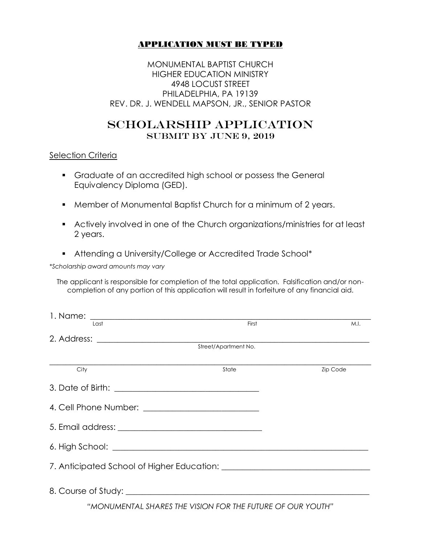## APPLICATION MUST BE TYPED

MONUMENTAL BAPTIST CHURCH HIGHER EDUCATION MINISTRY 4948 LOCUST STREET PHILADELPHIA, PA 19139 REV. DR. J. WENDELL MAPSON, JR., SENIOR PASTOR

# SCHOLARSHIP APPLICATION SUBMIT BY JUNE 9, 2019

#### Selection Criteria

- Graduate of an accredited high school or possess the General Equivalency Diploma (GED).
- Member of Monumental Baptist Church for a minimum of 2 years.
- Actively involved in one of the Church organizations/ministries for at least 2 years.
- Attending a University/College or Accredited Trade School\*

*\*Scholarship award amounts may vary*

The applicant is responsible for completion of the total application. Falsification and/or noncompletion of any portion of this application will result in forfeiture of any financial aid.

| Last                     | First                | M.I.            |  |
|--------------------------|----------------------|-----------------|--|
|                          |                      |                 |  |
|                          | Street/Apartment No. |                 |  |
| $\overline{\text{City}}$ | State                | <b>Zip Code</b> |  |
|                          |                      |                 |  |
|                          |                      |                 |  |
|                          |                      |                 |  |
|                          |                      |                 |  |
|                          |                      |                 |  |
|                          |                      |                 |  |

*"MONUMENTAL SHARES THE VISION FOR THE FUTURE OF OUR YOUTH"*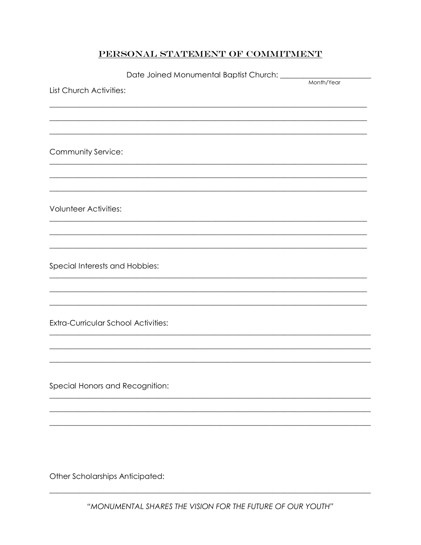### PERSONAL STATEMENT OF COMMITMENT

|                                            | Date Joined Monumental Baptist Church: _____ |            |
|--------------------------------------------|----------------------------------------------|------------|
| List Church Activities:                    |                                              | Month/Year |
|                                            |                                              |            |
|                                            |                                              |            |
|                                            |                                              |            |
| Community Service:                         |                                              |            |
|                                            |                                              |            |
|                                            |                                              |            |
|                                            |                                              |            |
| <b>Volunteer Activities:</b>               |                                              |            |
|                                            |                                              |            |
|                                            |                                              |            |
|                                            |                                              |            |
| Special Interests and Hobbies:             |                                              |            |
|                                            |                                              |            |
|                                            |                                              |            |
| <b>Extra-Curricular School Activities:</b> |                                              |            |
|                                            |                                              |            |
|                                            |                                              |            |
|                                            |                                              |            |
|                                            |                                              |            |
| Special Honors and Recognition:            |                                              |            |
|                                            |                                              |            |
|                                            |                                              |            |
|                                            |                                              |            |
|                                            |                                              |            |
|                                            |                                              |            |
| Other Scholarships Anticipated:            |                                              |            |